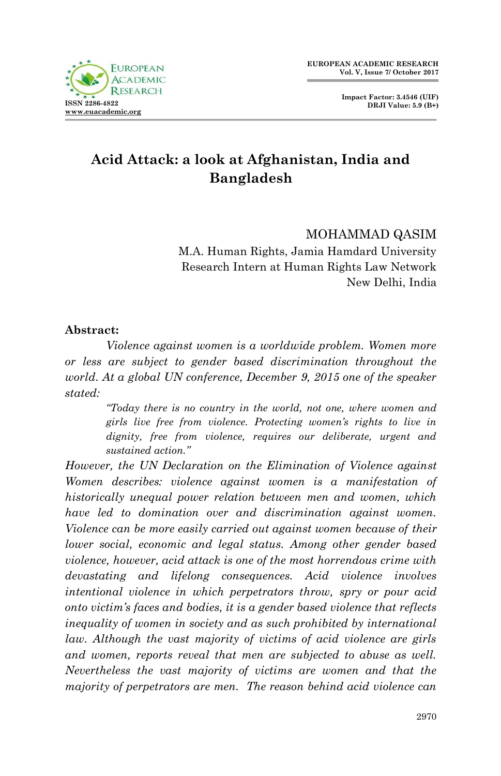**Impact Factor: 3.4546 (UIF) DRJI Value: 5.9 (B+)**

# **Acid Attack: a look at Afghanistan, India and Bangladesh**

MOHAMMAD QASIM M.A. Human Rights, Jamia Hamdard University Research Intern at Human Rights Law Network New Delhi, India

#### **Abstract:**

*Violence against women is a worldwide problem. Women more or less are subject to gender based discrimination throughout the world. At a global UN conference, December 9, 2015 one of the speaker stated:* 

> *"Today there is no country in the world, not one, where women and girls live free from violence. Protecting women's rights to live in dignity, free from violence, requires our deliberate, urgent and sustained action."*

*However, the UN Declaration on the Elimination of Violence against Women describes: violence against women is a manifestation of historically unequal power relation between men and women, which have led to domination over and discrimination against women. Violence can be more easily carried out against women because of their lower social, economic and legal status. Among other gender based violence, however, acid attack is one of the most horrendous crime with devastating and lifelong consequences. Acid violence involves intentional violence in which perpetrators throw, spry or pour acid onto victim's faces and bodies, it is a gender based violence that reflects inequality of women in society and as such prohibited by international law. Although the vast majority of victims of acid violence are girls and women, reports reveal that men are subjected to abuse as well. Nevertheless the vast majority of victims are women and that the majority of perpetrators are men. The reason behind acid violence can*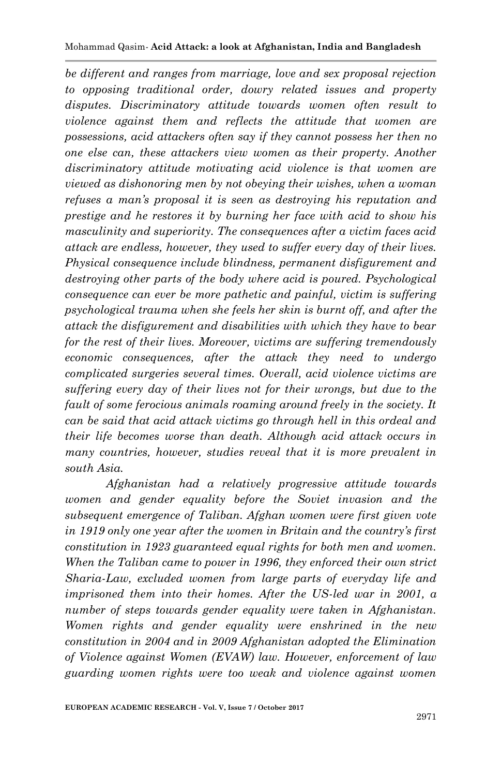*be different and ranges from marriage, love and sex proposal rejection to opposing traditional order, dowry related issues and property disputes. Discriminatory attitude towards women often result to violence against them and reflects the attitude that women are possessions, acid attackers often say if they cannot possess her then no one else can, these attackers view women as their property. Another discriminatory attitude motivating acid violence is that women are viewed as dishonoring men by not obeying their wishes, when a woman refuses a man's proposal it is seen as destroying his reputation and prestige and he restores it by burning her face with acid to show his masculinity and superiority. The consequences after a victim faces acid attack are endless, however, they used to suffer every day of their lives. Physical consequence include blindness, permanent disfigurement and destroying other parts of the body where acid is poured. Psychological consequence can ever be more pathetic and painful, victim is suffering psychological trauma when she feels her skin is burnt off, and after the attack the disfigurement and disabilities with which they have to bear for the rest of their lives. Moreover, victims are suffering tremendously economic consequences, after the attack they need to undergo complicated surgeries several times. Overall, acid violence victims are suffering every day of their lives not for their wrongs, but due to the fault of some ferocious animals roaming around freely in the society. It can be said that acid attack victims go through hell in this ordeal and their life becomes worse than death. Although acid attack occurs in many countries, however, studies reveal that it is more prevalent in south Asia.*

*Afghanistan had a relatively progressive attitude towards women and gender equality before the Soviet invasion and the subsequent emergence of Taliban. Afghan women were first given vote in 1919 only one year after the women in Britain and the country's first constitution in 1923 guaranteed equal rights for both men and women. When the Taliban came to power in 1996, they enforced their own strict Sharia-Law, excluded women from large parts of everyday life and imprisoned them into their homes. After the US-led war in 2001, a number of steps towards gender equality were taken in Afghanistan. Women rights and gender equality were enshrined in the new constitution in 2004 and in 2009 Afghanistan adopted the Elimination of Violence against Women (EVAW) law. However, enforcement of law guarding women rights were too weak and violence against women*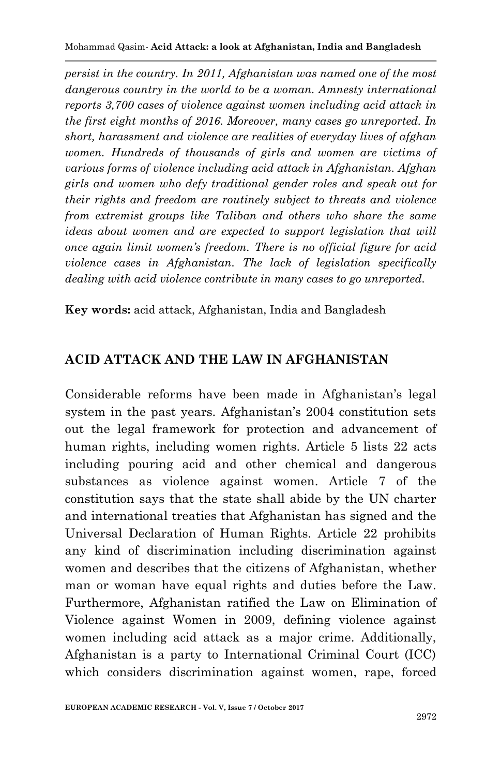*persist in the country. In 2011, Afghanistan was named one of the most dangerous country in the world to be a woman. Amnesty international reports 3,700 cases of violence against women including acid attack in the first eight months of 2016. Moreover, many cases go unreported. In short, harassment and violence are realities of everyday lives of afghan women. Hundreds of thousands of girls and women are victims of various forms of violence including acid attack in Afghanistan. Afghan girls and women who defy traditional gender roles and speak out for their rights and freedom are routinely subject to threats and violence from extremist groups like Taliban and others who share the same ideas about women and are expected to support legislation that will once again limit women's freedom. There is no official figure for acid violence cases in Afghanistan. The lack of legislation specifically dealing with acid violence contribute in many cases to go unreported.*

**Key words:** acid attack, Afghanistan, India and Bangladesh

#### **ACID ATTACK AND THE LAW IN AFGHANISTAN**

Considerable reforms have been made in Afghanistan's legal system in the past years. Afghanistan's 2004 constitution sets out the legal framework for protection and advancement of human rights, including women rights. Article 5 lists 22 acts including pouring acid and other chemical and dangerous substances as violence against women. Article 7 of the constitution says that the state shall abide by the UN charter and international treaties that Afghanistan has signed and the Universal Declaration of Human Rights. Article 22 prohibits any kind of discrimination including discrimination against women and describes that the citizens of Afghanistan, whether man or woman have equal rights and duties before the Law. Furthermore, Afghanistan ratified the Law on Elimination of Violence against Women in 2009, defining violence against women including acid attack as a major crime. Additionally, Afghanistan is a party to International Criminal Court (ICC) which considers discrimination against women, rape, forced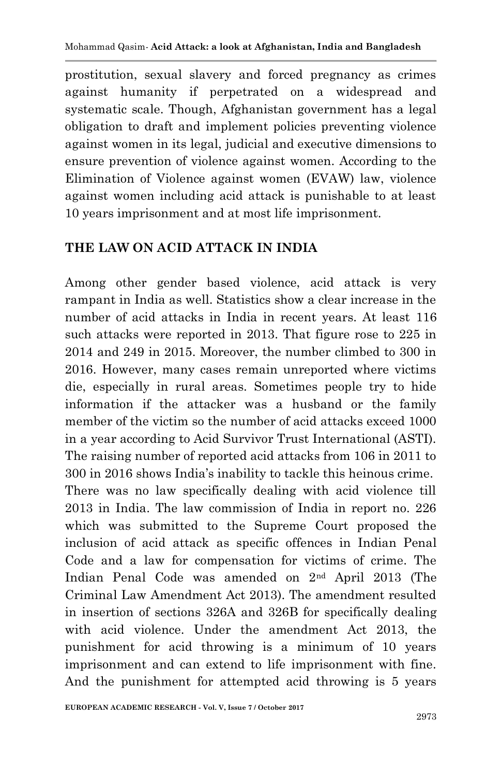prostitution, sexual slavery and forced pregnancy as crimes against humanity if perpetrated on a widespread and systematic scale. Though, Afghanistan government has a legal obligation to draft and implement policies preventing violence against women in its legal, judicial and executive dimensions to ensure prevention of violence against women. According to the Elimination of Violence against women (EVAW) law, violence against women including acid attack is punishable to at least 10 years imprisonment and at most life imprisonment.

### **THE LAW ON ACID ATTACK IN INDIA**

Among other gender based violence, acid attack is very rampant in India as well. Statistics show a clear increase in the number of acid attacks in India in recent years. At least 116 such attacks were reported in 2013. That figure rose to 225 in 2014 and 249 in 2015. Moreover, the number climbed to 300 in 2016. However, many cases remain unreported where victims die, especially in rural areas. Sometimes people try to hide information if the attacker was a husband or the family member of the victim so the number of acid attacks exceed 1000 in a year according to Acid Survivor Trust International (ASTI). The raising number of reported acid attacks from 106 in 2011 to 300 in 2016 shows India"s inability to tackle this heinous crime. There was no law specifically dealing with acid violence till 2013 in India. The law commission of India in report no. 226 which was submitted to the Supreme Court proposed the inclusion of acid attack as specific offences in Indian Penal Code and a law for compensation for victims of crime. The Indian Penal Code was amended on 2nd April 2013 (The Criminal Law Amendment Act 2013). The amendment resulted in insertion of sections 326A and 326B for specifically dealing with acid violence. Under the amendment Act 2013, the punishment for acid throwing is a minimum of 10 years imprisonment and can extend to life imprisonment with fine. And the punishment for attempted acid throwing is 5 years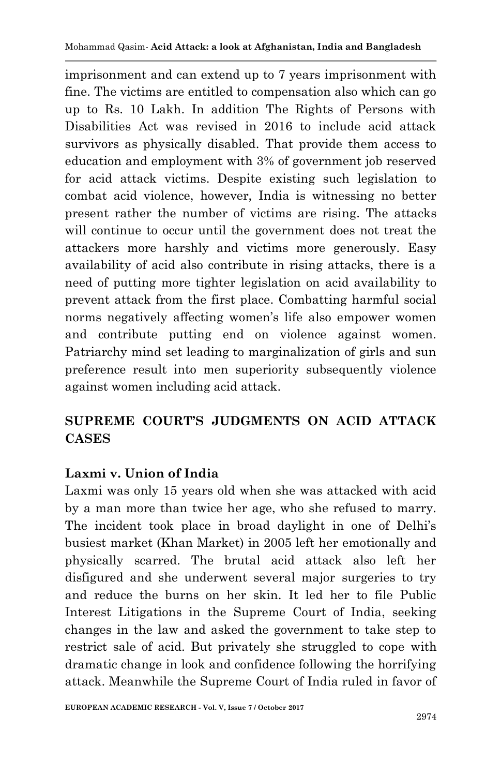imprisonment and can extend up to 7 years imprisonment with fine. The victims are entitled to compensation also which can go up to Rs. 10 Lakh. In addition The Rights of Persons with Disabilities Act was revised in 2016 to include acid attack survivors as physically disabled. That provide them access to education and employment with 3% of government job reserved for acid attack victims. Despite existing such legislation to combat acid violence, however, India is witnessing no better present rather the number of victims are rising. The attacks will continue to occur until the government does not treat the attackers more harshly and victims more generously. Easy availability of acid also contribute in rising attacks, there is a need of putting more tighter legislation on acid availability to prevent attack from the first place. Combatting harmful social norms negatively affecting women's life also empower women and contribute putting end on violence against women. Patriarchy mind set leading to marginalization of girls and sun preference result into men superiority subsequently violence against women including acid attack.

### **SUPREME COURT'S JUDGMENTS ON ACID ATTACK CASES**

### **Laxmi v. Union of India**

Laxmi was only 15 years old when she was attacked with acid by a man more than twice her age, who she refused to marry. The incident took place in broad daylight in one of Delhi"s busiest market (Khan Market) in 2005 left her emotionally and physically scarred. The brutal acid attack also left her disfigured and she underwent several major surgeries to try and reduce the burns on her skin. It led her to file Public Interest Litigations in the Supreme Court of India, seeking changes in the law and asked the government to take step to restrict sale of acid. But privately she struggled to cope with dramatic change in look and confidence following the horrifying attack. Meanwhile the Supreme Court of India ruled in favor of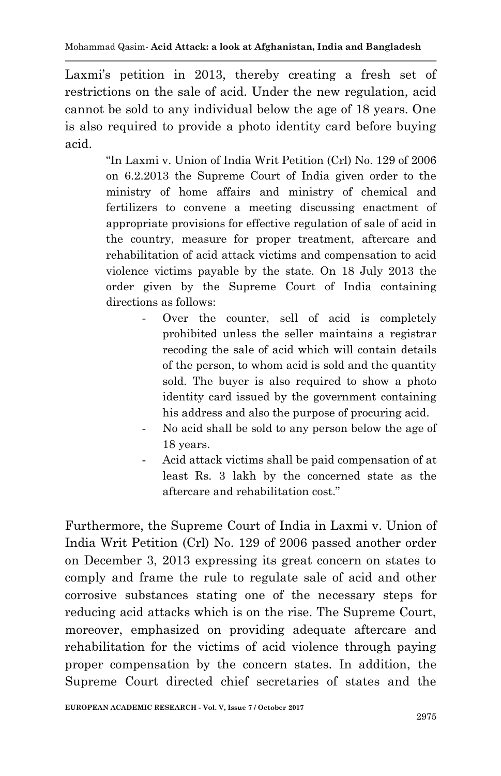Laxmi's petition in 2013, thereby creating a fresh set of restrictions on the sale of acid. Under the new regulation, acid cannot be sold to any individual below the age of 18 years. One is also required to provide a photo identity card before buying acid.

> "In Laxmi v. Union of India Writ Petition (Crl) No. 129 of 2006 on 6.2.2013 the Supreme Court of India given order to the ministry of home affairs and ministry of chemical and fertilizers to convene a meeting discussing enactment of appropriate provisions for effective regulation of sale of acid in the country, measure for proper treatment, aftercare and rehabilitation of acid attack victims and compensation to acid violence victims payable by the state. On 18 July 2013 the order given by the Supreme Court of India containing directions as follows:

- Over the counter, sell of acid is completely prohibited unless the seller maintains a registrar recoding the sale of acid which will contain details of the person, to whom acid is sold and the quantity sold. The buyer is also required to show a photo identity card issued by the government containing his address and also the purpose of procuring acid.
- No acid shall be sold to any person below the age of 18 years.
- Acid attack victims shall be paid compensation of at least Rs. 3 lakh by the concerned state as the aftercare and rehabilitation cost."

Furthermore, the Supreme Court of India in Laxmi v. Union of India Writ Petition (Crl) No. 129 of 2006 passed another order on December 3, 2013 expressing its great concern on states to comply and frame the rule to regulate sale of acid and other corrosive substances stating one of the necessary steps for reducing acid attacks which is on the rise. The Supreme Court, moreover, emphasized on providing adequate aftercare and rehabilitation for the victims of acid violence through paying proper compensation by the concern states. In addition, the Supreme Court directed chief secretaries of states and the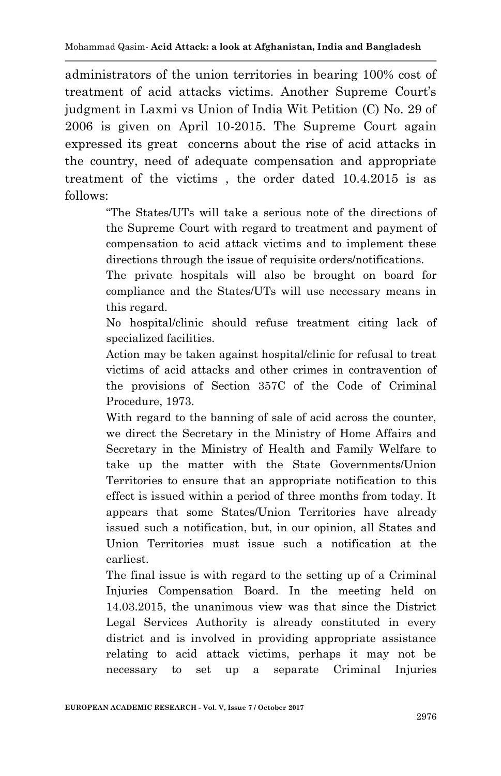administrators of the union territories in bearing 100% cost of treatment of acid attacks victims. Another Supreme Court's judgment in Laxmi vs Union of India Wit Petition (C) No. 29 of 2006 is given on April 10-2015. The Supreme Court again expressed its great concerns about the rise of acid attacks in the country, need of adequate compensation and appropriate treatment of the victims , the order dated 10.4.2015 is as follows:

> "The States/UTs will take a serious note of the directions of the Supreme Court with regard to treatment and payment of compensation to acid attack victims and to implement these directions through the issue of requisite orders/notifications.

> The private hospitals will also be brought on board for compliance and the States/UTs will use necessary means in this regard.

> No hospital/clinic should refuse treatment citing lack of specialized facilities.

> Action may be taken against hospital/clinic for refusal to treat victims of acid attacks and other crimes in contravention of the provisions of Section 357C of the Code of Criminal Procedure, 1973.

> With regard to the banning of sale of acid across the counter, we direct the Secretary in the Ministry of Home Affairs and Secretary in the Ministry of Health and Family Welfare to take up the matter with the State Governments/Union Territories to ensure that an appropriate notification to this effect is issued within a period of three months from today. It appears that some States/Union Territories have already issued such a notification, but, in our opinion, all States and Union Territories must issue such a notification at the earliest.

> The final issue is with regard to the setting up of a Criminal Injuries Compensation Board. In the meeting held on 14.03.2015, the unanimous view was that since the District Legal Services Authority is already constituted in every district and is involved in providing appropriate assistance relating to acid attack victims, perhaps it may not be necessary to set up a separate Criminal Injuries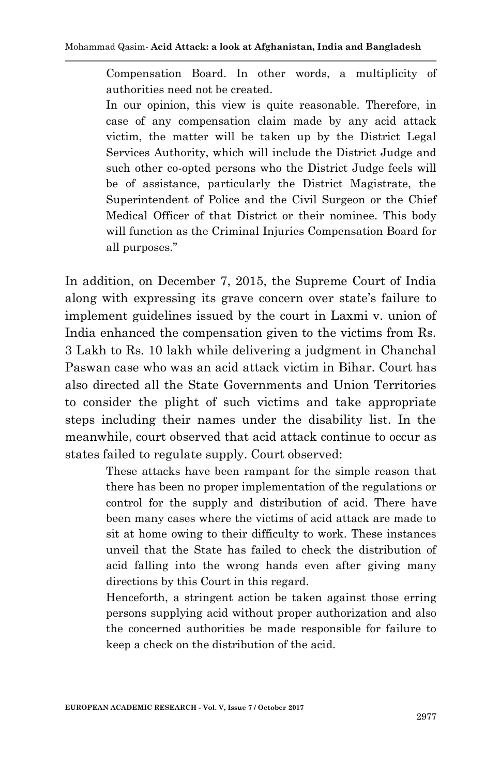Compensation Board. In other words, a multiplicity of authorities need not be created.

In our opinion, this view is quite reasonable. Therefore, in case of any compensation claim made by any acid attack victim, the matter will be taken up by the District Legal Services Authority, which will include the District Judge and such other co-opted persons who the District Judge feels will be of assistance, particularly the District Magistrate, the Superintendent of Police and the Civil Surgeon or the Chief Medical Officer of that District or their nominee. This body will function as the Criminal Injuries Compensation Board for all purposes."

In addition, on December 7, 2015, the Supreme Court of India along with expressing its grave concern over state's failure to implement guidelines issued by the court in Laxmi v. union of India enhanced the compensation given to the victims from Rs. 3 Lakh to Rs. 10 lakh while delivering a judgment in Chanchal Paswan case who was an acid attack victim in Bihar. Court has also directed all the State Governments and Union Territories to consider the plight of such victims and take appropriate steps including their names under the disability list. In the meanwhile, court observed that acid attack continue to occur as states failed to regulate supply. Court observed:

> These attacks have been rampant for the simple reason that there has been no proper implementation of the regulations or control for the supply and distribution of acid. There have been many cases where the victims of acid attack are made to sit at home owing to their difficulty to work. These instances unveil that the State has failed to check the distribution of acid falling into the wrong hands even after giving many directions by this Court in this regard.

> Henceforth, a stringent action be taken against those erring persons supplying acid without proper authorization and also the concerned authorities be made responsible for failure to keep a check on the distribution of the acid.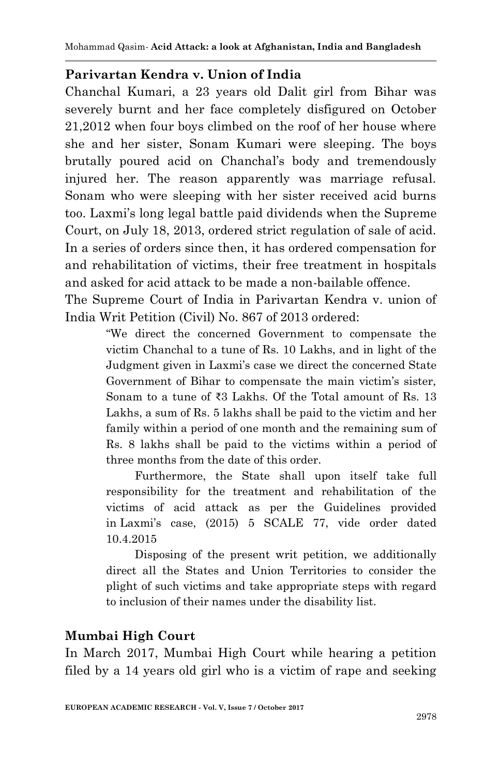#### **Parivartan Kendra v. Union of India**

Chanchal Kumari, a 23 years old Dalit girl from Bihar was severely burnt and her face completely disfigured on October 21,2012 when four boys climbed on the roof of her house where she and her sister, Sonam Kumari were sleeping. The boys brutally poured acid on Chanchal"s body and tremendously injured her. The reason apparently was marriage refusal. Sonam who were sleeping with her sister received acid burns too. Laxmi"s long legal battle paid dividends when the Supreme Court, on July 18, 2013, ordered strict regulation of sale of acid. In a series of orders since then, it has ordered compensation for and rehabilitation of victims, their free treatment in hospitals and asked for acid attack to be made a non-bailable offence.

The Supreme Court of India in Parivartan Kendra v. union of India Writ Petition (Civil) No. 867 of 2013 ordered:

> "We direct the concerned Government to compensate the victim Chanchal to a tune of Rs. 10 Lakhs, and in light of the Judgment given in Laxmi"s case we direct the concerned State Government of Bihar to compensate the main victim's sister, Sonam to a tune of ₹3 Lakhs. Of the Total amount of Rs. 13 Lakhs, a sum of Rs. 5 lakhs shall be paid to the victim and her family within a period of one month and the remaining sum of Rs. 8 lakhs shall be paid to the victims within a period of three months from the date of this order.

> Furthermore, the State shall upon itself take full responsibility for the treatment and rehabilitation of the victims of acid attack as per the Guidelines provided in Laxmi"s case, (2015) 5 SCALE 77, vide order dated 10.4.2015

> Disposing of the present writ petition, we additionally direct all the States and Union Territories to consider the plight of such victims and take appropriate steps with regard to inclusion of their names under the disability list.

### **Mumbai High Court**

In March 2017, Mumbai High Court while hearing a petition filed by a 14 years old girl who is a victim of rape and seeking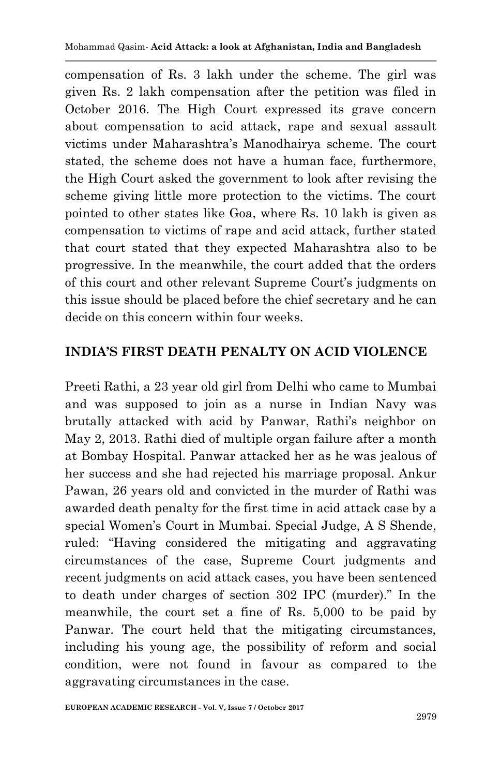compensation of Rs. 3 lakh under the scheme. The girl was given Rs. 2 lakh compensation after the petition was filed in October 2016. The High Court expressed its grave concern about compensation to acid attack, rape and sexual assault victims under Maharashtra"s Manodhairya scheme. The court stated, the scheme does not have a human face, furthermore, the High Court asked the government to look after revising the scheme giving little more protection to the victims. The court pointed to other states like Goa, where Rs. 10 lakh is given as compensation to victims of rape and acid attack, further stated that court stated that they expected Maharashtra also to be progressive. In the meanwhile, the court added that the orders of this court and other relevant Supreme Court"s judgments on this issue should be placed before the chief secretary and he can decide on this concern within four weeks.

### **INDIA'S FIRST DEATH PENALTY ON ACID VIOLENCE**

Preeti Rathi, a 23 year old girl from Delhi who came to Mumbai and was supposed to join as a nurse in Indian Navy was brutally attacked with acid by Panwar, Rathi's neighbor on May 2, 2013. Rathi died of multiple organ failure after a month at Bombay Hospital. Panwar attacked her as he was jealous of her success and she had rejected his marriage proposal. Ankur Pawan, 26 years old and convicted in the murder of Rathi was awarded death penalty for the first time in acid attack case by a special Women"s Court in Mumbai. Special Judge, A S Shende, ruled: "Having considered the mitigating and aggravating circumstances of the case, Supreme Court judgments and recent judgments on acid attack cases, you have been sentenced to death under charges of section 302 IPC (murder)." In the meanwhile, the court set a fine of Rs. 5,000 to be paid by Panwar. The court held that the mitigating circumstances, including his young age, the possibility of reform and social condition, were not found in favour as compared to the aggravating circumstances in the case.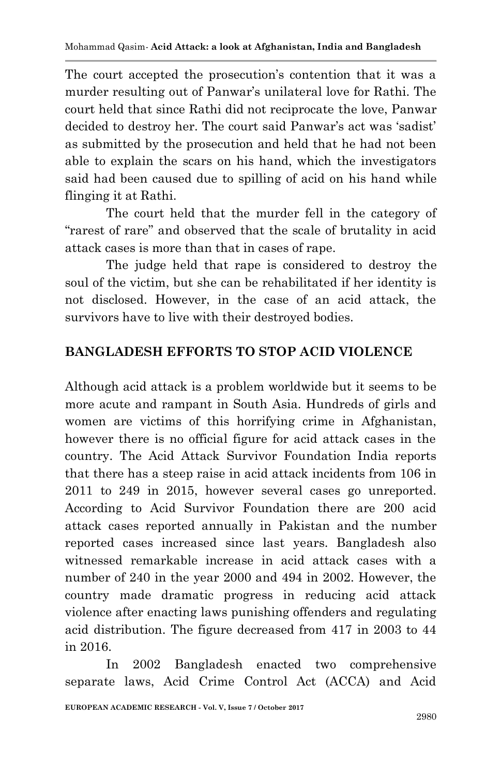The court accepted the prosecution's contention that it was a murder resulting out of Panwar"s unilateral love for Rathi. The court held that since Rathi did not reciprocate the love, Panwar decided to destroy her. The court said Panwar's act was 'sadist' as submitted by the prosecution and held that he had not been able to explain the scars on his hand, which the investigators said had been caused due to spilling of acid on his hand while flinging it at Rathi.

The court held that the murder fell in the category of "rarest of rare" and observed that the scale of brutality in acid attack cases is more than that in cases of rape.

The judge held that rape is considered to destroy the soul of the victim, but she can be rehabilitated if her identity is not disclosed. However, in the case of an acid attack, the survivors have to live with their destroyed bodies.

## **BANGLADESH EFFORTS TO STOP ACID VIOLENCE**

Although acid attack is a problem worldwide but it seems to be more acute and rampant in South Asia. Hundreds of girls and women are victims of this horrifying crime in Afghanistan, however there is no official figure for acid attack cases in the country. The Acid Attack Survivor Foundation India reports that there has a steep raise in acid attack incidents from 106 in 2011 to 249 in 2015, however several cases go unreported. According to Acid Survivor Foundation there are 200 acid attack cases reported annually in Pakistan and the number reported cases increased since last years. Bangladesh also witnessed remarkable increase in acid attack cases with a number of 240 in the year 2000 and 494 in 2002. However, the country made dramatic progress in reducing acid attack violence after enacting laws punishing offenders and regulating acid distribution. The figure decreased from 417 in 2003 to 44 in 2016.

In 2002 Bangladesh enacted two comprehensive separate laws, Acid Crime Control Act (ACCA) and Acid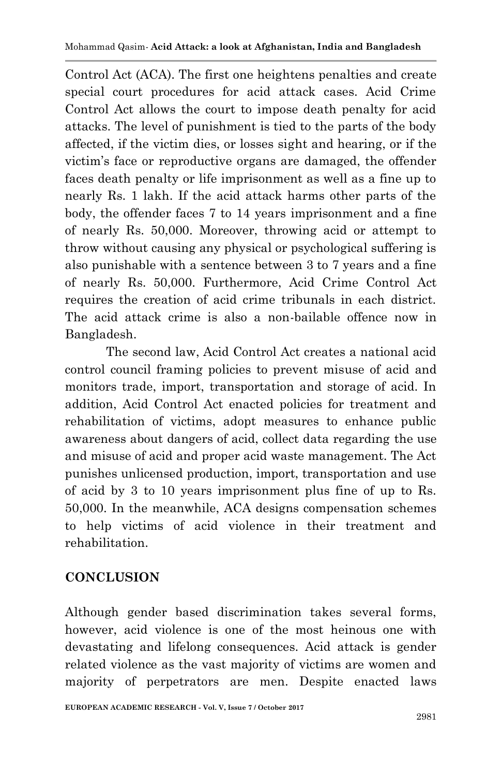Control Act (ACA). The first one heightens penalties and create special court procedures for acid attack cases. Acid Crime Control Act allows the court to impose death penalty for acid attacks. The level of punishment is tied to the parts of the body affected, if the victim dies, or losses sight and hearing, or if the victim"s face or reproductive organs are damaged, the offender faces death penalty or life imprisonment as well as a fine up to nearly Rs. 1 lakh. If the acid attack harms other parts of the body, the offender faces 7 to 14 years imprisonment and a fine of nearly Rs. 50,000. Moreover, throwing acid or attempt to throw without causing any physical or psychological suffering is also punishable with a sentence between 3 to 7 years and a fine of nearly Rs. 50,000. Furthermore, Acid Crime Control Act requires the creation of acid crime tribunals in each district. The acid attack crime is also a non-bailable offence now in Bangladesh.

The second law, Acid Control Act creates a national acid control council framing policies to prevent misuse of acid and monitors trade, import, transportation and storage of acid. In addition, Acid Control Act enacted policies for treatment and rehabilitation of victims, adopt measures to enhance public awareness about dangers of acid, collect data regarding the use and misuse of acid and proper acid waste management. The Act punishes unlicensed production, import, transportation and use of acid by 3 to 10 years imprisonment plus fine of up to Rs. 50,000. In the meanwhile, ACA designs compensation schemes to help victims of acid violence in their treatment and rehabilitation.

### **CONCLUSION**

Although gender based discrimination takes several forms, however, acid violence is one of the most heinous one with devastating and lifelong consequences. Acid attack is gender related violence as the vast majority of victims are women and majority of perpetrators are men. Despite enacted laws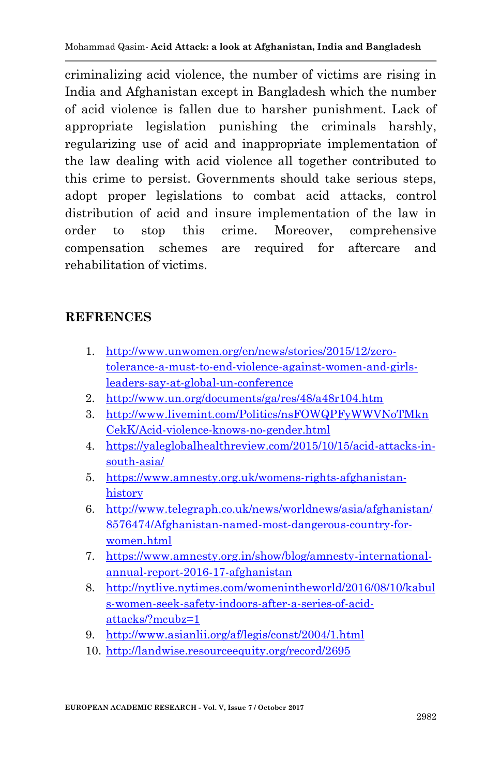criminalizing acid violence, the number of victims are rising in India and Afghanistan except in Bangladesh which the number of acid violence is fallen due to harsher punishment. Lack of appropriate legislation punishing the criminals harshly, regularizing use of acid and inappropriate implementation of the law dealing with acid violence all together contributed to this crime to persist. Governments should take serious steps, adopt proper legislations to combat acid attacks, control distribution of acid and insure implementation of the law in order to stop this crime. Moreover, comprehensive compensation schemes are required for aftercare and rehabilitation of victims.

#### **REFRENCES**

- 1. [http://www.unwomen.org/en/news/stories/2015/12/zero](http://www.unwomen.org/en/news/stories/2015/12/zero-tolerance-a-must-to-end-violence-against-women-and-girls-leaders-say-at-global-un-conference)[tolerance-a-must-to-end-violence-against-women-and-girls](http://www.unwomen.org/en/news/stories/2015/12/zero-tolerance-a-must-to-end-violence-against-women-and-girls-leaders-say-at-global-un-conference)[leaders-say-at-global-un-conference](http://www.unwomen.org/en/news/stories/2015/12/zero-tolerance-a-must-to-end-violence-against-women-and-girls-leaders-say-at-global-un-conference)
- 2. <http://www.un.org/documents/ga/res/48/a48r104.htm>
- 3. [http://www.livemint.com/Politics/nsFOWQPFyWWVNoTMkn](http://www.livemint.com/Politics/nsFOWQPFyWWVNoTMknCekK/Acid-violence-knows-no-gender.html) [CekK/Acid-violence-knows-no-gender.html](http://www.livemint.com/Politics/nsFOWQPFyWWVNoTMknCekK/Acid-violence-knows-no-gender.html)
- 4. [https://yaleglobalhealthreview.com/2015/10/15/acid-attacks-in](https://yaleglobalhealthreview.com/2015/10/15/acid-attacks-in-south-asia/)[south-asia/](https://yaleglobalhealthreview.com/2015/10/15/acid-attacks-in-south-asia/)
- 5. [https://www.amnesty.org.uk/womens-rights-afghanistan](https://www.amnesty.org.uk/womens-rights-afghanistan-history)[history](https://www.amnesty.org.uk/womens-rights-afghanistan-history)
- 6. [http://www.telegraph.co.uk/news/worldnews/asia/afghanistan/](http://www.telegraph.co.uk/news/worldnews/asia/afghanistan/8576474/Afghanistan-named-most-dangerous-country-for-women.html) [8576474/Afghanistan-named-most-dangerous-country-for](http://www.telegraph.co.uk/news/worldnews/asia/afghanistan/8576474/Afghanistan-named-most-dangerous-country-for-women.html)[women.html](http://www.telegraph.co.uk/news/worldnews/asia/afghanistan/8576474/Afghanistan-named-most-dangerous-country-for-women.html)
- 7. [https://www.amnesty.org.in/show/blog/amnesty-international](https://www.amnesty.org.in/show/blog/amnesty-international-annual-report-2016-17-afghanistan)[annual-report-2016-17-afghanistan](https://www.amnesty.org.in/show/blog/amnesty-international-annual-report-2016-17-afghanistan)
- 8. [http://nytlive.nytimes.com/womenintheworld/2016/08/10/kabul](http://nytlive.nytimes.com/womenintheworld/2016/08/10/kabuls-women-seek-safety-indoors-after-a-series-of-acid-attacks/?mcubz=1) [s-women-seek-safety-indoors-after-a-series-of-acid](http://nytlive.nytimes.com/womenintheworld/2016/08/10/kabuls-women-seek-safety-indoors-after-a-series-of-acid-attacks/?mcubz=1)[attacks/?mcubz=1](http://nytlive.nytimes.com/womenintheworld/2016/08/10/kabuls-women-seek-safety-indoors-after-a-series-of-acid-attacks/?mcubz=1)
- 9. <http://www.asianlii.org/af/legis/const/2004/1.html>
- 10. <http://landwise.resourceequity.org/record/2695>